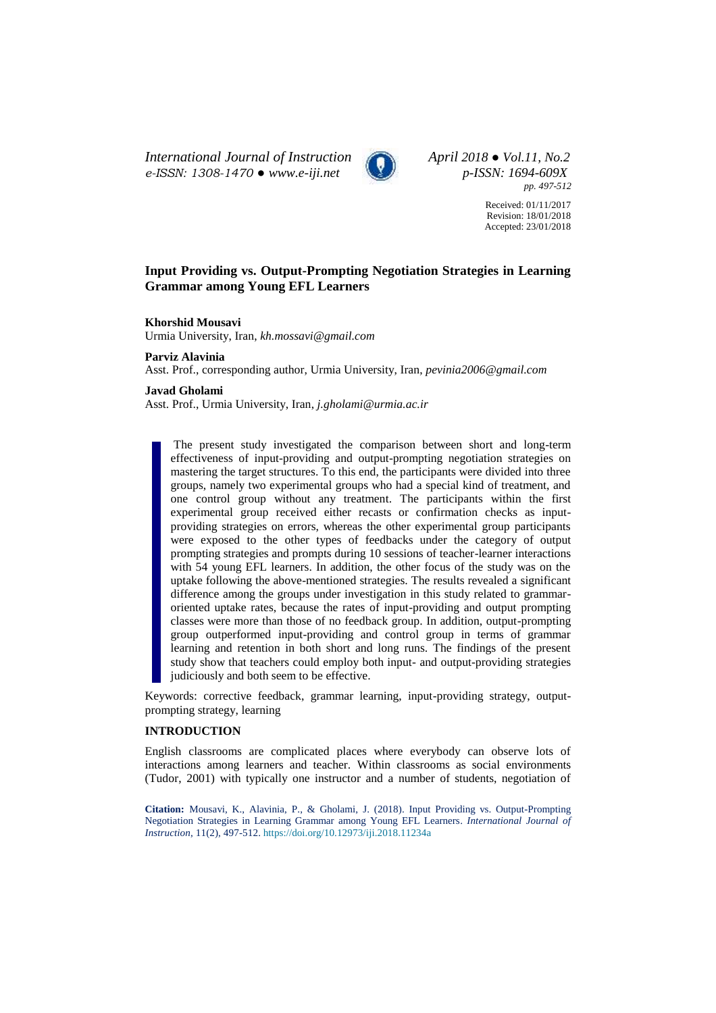*International Journal of Instruction April 2018 ● Vol.11, No.2 e-ISSN: 1308-1470 ● [www.e-iji.net](http://www.e-iji.net/) p-ISSN: 1694-609X*



*pp. 497-512*

Received: 01/11/2017 Revision: 18/01/2018 Accepted: 23/01/2018

# **Input Providing vs. Output-Prompting Negotiation Strategies in Learning Grammar among Young EFL Learners**

**Khorshid Mousavi**

Urmia University, Iran, *kh.mossavi@gmail.com*

**Parviz Alavinia**

Asst. Prof., corresponding author, Urmia University, Iran, *pevinia2006@gmail.com*

# **Javad Gholami**

Asst. Prof., Urmia University, Iran, *j.gholami@urmia.ac.ir*

The present study investigated the comparison between short and long-term effectiveness of input-providing and output-prompting negotiation strategies on mastering the target structures. To this end, the participants were divided into three groups, namely two experimental groups who had a special kind of treatment, and one control group without any treatment. The participants within the first experimental group received either recasts or confirmation checks as inputproviding strategies on errors, whereas the other experimental group participants were exposed to the other types of feedbacks under the category of output prompting strategies and prompts during 10 sessions of teacher-learner interactions with 54 young EFL learners. In addition, the other focus of the study was on the uptake following the above-mentioned strategies. The results revealed a significant difference among the groups under investigation in this study related to grammaroriented uptake rates, because the rates of input-providing and output prompting classes were more than those of no feedback group. In addition, output-prompting group outperformed input-providing and control group in terms of grammar learning and retention in both short and long runs. The findings of the present study show that teachers could employ both input- and output-providing strategies judiciously and both seem to be effective.

Keywords: corrective feedback, grammar learning, input-providing strategy, outputprompting strategy, learning

# **INTRODUCTION**

English classrooms are complicated places where everybody can observe lots of interactions among learners and teacher. Within classrooms as social environments (Tudor, 2001) with typically one instructor and a number of students, negotiation of

**Citation:** Mousavi, K., Alavinia, P., & Gholami, J. (2018). Input Providing vs. Output-Prompting Negotiation Strategies in Learning Grammar among Young EFL Learners. *International Journal of Instruction*, 11(2), 497-512. <https://doi.org/10.12973/iji.2018.11234a>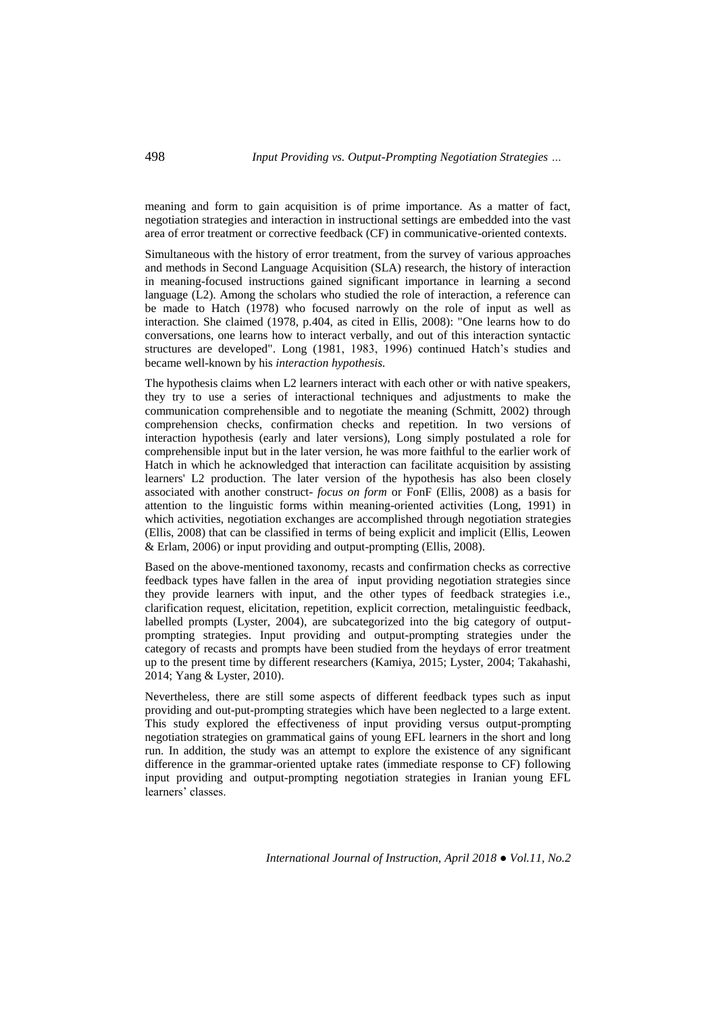meaning and form to gain acquisition is of prime importance. As a matter of fact, negotiation strategies and interaction in instructional settings are embedded into the vast area of error treatment or corrective feedback (CF) in communicative-oriented contexts.

Simultaneous with the history of error treatment, from the survey of various approaches and methods in Second Language Acquisition (SLA) research, the history of interaction in meaning-focused instructions gained significant importance in learning a second language (L2). Among the scholars who studied the role of interaction, a reference can be made to Hatch (1978) who focused narrowly on the role of input as well as interaction. She claimed (1978, p.404, as cited in Ellis, 2008): "One learns how to do conversations, one learns how to interact verbally, and out of this interaction syntactic structures are developed". Long (1981, 1983, 1996) continued Hatch's studies and became well-known by his *interaction hypothesis.*

The hypothesis claims when L2 learners interact with each other or with native speakers, they try to use a series of interactional techniques and adjustments to make the communication comprehensible and to negotiate the meaning (Schmitt, 2002) through comprehension checks, confirmation checks and repetition. In two versions of interaction hypothesis (early and later versions), Long simply postulated a role for comprehensible input but in the later version, he was more faithful to the earlier work of Hatch in which he acknowledged that interaction can facilitate acquisition by assisting learners' L2 production. The later version of the hypothesis has also been closely associated with another construct- *focus on form* or FonF (Ellis, 2008) as a basis for attention to the linguistic forms within meaning-oriented activities (Long, 1991) in which activities, negotiation exchanges are accomplished through negotiation strategies (Ellis, 2008) that can be classified in terms of being explicit and implicit (Ellis, Leowen & Erlam, 2006) or input providing and output-prompting (Ellis, 2008).

Based on the above-mentioned taxonomy, recasts and confirmation checks as corrective feedback types have fallen in the area of input providing negotiation strategies since they provide learners with input, and the other types of feedback strategies i.e., clarification request, elicitation, repetition, explicit correction, metalinguistic feedback, labelled prompts (Lyster, 2004), are subcategorized into the big category of outputprompting strategies. Input providing and output-prompting strategies under the category of recasts and prompts have been studied from the heydays of error treatment up to the present time by different researchers (Kamiya, 2015; Lyster, 2004; Takahashi, 2014; Yang & Lyster, 2010).

Nevertheless, there are still some aspects of different feedback types such as input providing and out-put-prompting strategies which have been neglected to a large extent. This study explored the effectiveness of input providing versus output-prompting negotiation strategies on grammatical gains of young EFL learners in the short and long run. In addition, the study was an attempt to explore the existence of any significant difference in the grammar-oriented uptake rates (immediate response to CF) following input providing and output-prompting negotiation strategies in Iranian young EFL learners' classes.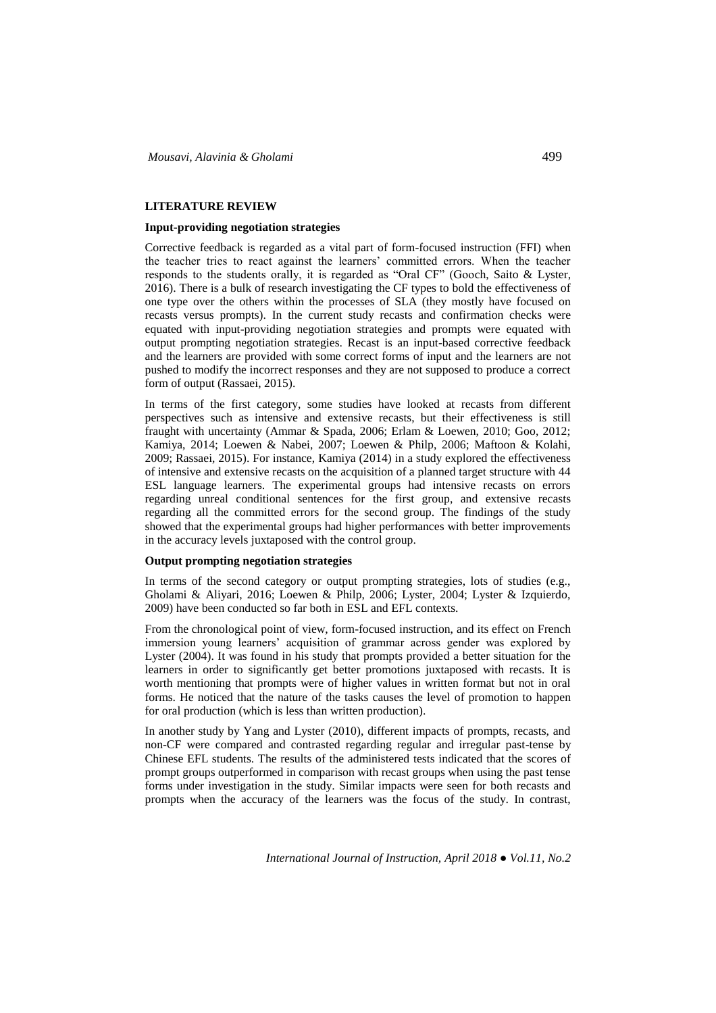# **LITERATURE REVIEW**

#### **Input-providing negotiation strategies**

Corrective feedback is regarded as a vital part of form-focused instruction (FFI) when the teacher tries to react against the learners' committed errors. When the teacher responds to the students orally, it is regarded as "Oral CF" (Gooch, Saito & Lyster, 2016). There is a bulk of research investigating the CF types to bold the effectiveness of one type over the others within the processes of SLA (they mostly have focused on recasts versus prompts). In the current study recasts and confirmation checks were equated with input-providing negotiation strategies and prompts were equated with output prompting negotiation strategies. Recast is an input-based corrective feedback and the learners are provided with some correct forms of input and the learners are not pushed to modify the incorrect responses and they are not supposed to produce a correct form of output (Rassaei, 2015).

In terms of the first category, some studies have looked at recasts from different perspectives such as intensive and extensive recasts, but their effectiveness is still fraught with uncertainty (Ammar & Spada, 2006; Erlam & Loewen, 2010; Goo, 2012; Kamiya, 2014; Loewen & Nabei, 2007; Loewen & Philp, 2006; Maftoon & Kolahi, 2009; Rassaei, 2015). For instance, Kamiya (2014) in a study explored the effectiveness of intensive and extensive recasts on the acquisition of a planned target structure with 44 ESL language learners. The experimental groups had intensive recasts on errors regarding unreal conditional sentences for the first group, and extensive recasts regarding all the committed errors for the second group. The findings of the study showed that the experimental groups had higher performances with better improvements in the accuracy levels juxtaposed with the control group.

# **Output prompting negotiation strategies**

In terms of the second category or output prompting strategies, lots of studies (e.g., Gholami & Aliyari, 2016; Loewen & Philp, 2006; Lyster, 2004; Lyster & Izquierdo, 2009) have been conducted so far both in ESL and EFL contexts.

From the chronological point of view, form-focused instruction, and its effect on French immersion young learners' acquisition of grammar across gender was explored by Lyster (2004). It was found in his study that prompts provided a better situation for the learners in order to significantly get better promotions juxtaposed with recasts. It is worth mentioning that prompts were of higher values in written format but not in oral forms. He noticed that the nature of the tasks causes the level of promotion to happen for oral production (which is less than written production).

In another study by Yang and Lyster (2010), different impacts of prompts, recasts, and non-CF were compared and contrasted regarding regular and irregular past-tense by Chinese EFL students. The results of the administered tests indicated that the scores of prompt groups outperformed in comparison with recast groups when using the past tense forms under investigation in the study. Similar impacts were seen for both recasts and prompts when the accuracy of the learners was the focus of the study. In contrast,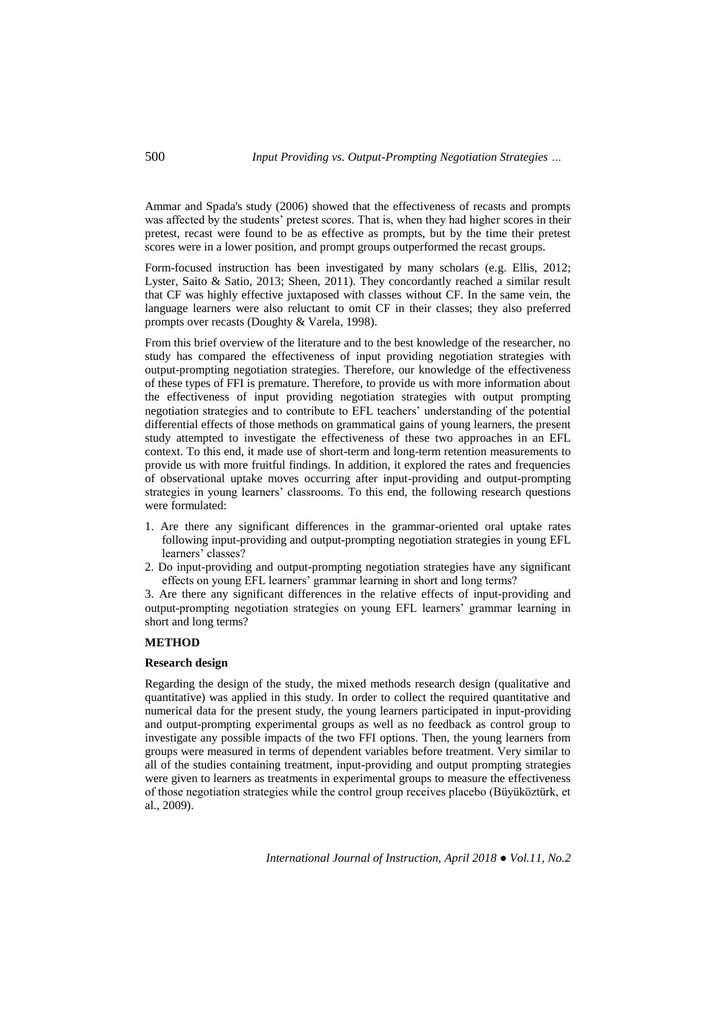Ammar and Spada's study (2006) showed that the effectiveness of recasts and prompts was affected by the students' pretest scores. That is, when they had higher scores in their pretest, recast were found to be as effective as prompts, but by the time their pretest scores were in a lower position, and prompt groups outperformed the recast groups.

Form-focused instruction has been investigated by many scholars (e.g. Ellis, 2012; Lyster, Saito & Satio, 2013; Sheen, 2011). They concordantly reached a similar result that CF was highly effective juxtaposed with classes without CF. In the same vein, the language learners were also reluctant to omit CF in their classes; they also preferred prompts over recasts (Doughty & Varela, 1998).

From this brief overview of the literature and to the best knowledge of the researcher, no study has compared the effectiveness of input providing negotiation strategies with output-prompting negotiation strategies. Therefore, our knowledge of the effectiveness of these types of FFI is premature. Therefore, to provide us with more information about the effectiveness of input providing negotiation strategies with output prompting negotiation strategies and to contribute to EFL teachers' understanding of the potential differential effects of those methods on grammatical gains of young learners, the present study attempted to investigate the effectiveness of these two approaches in an EFL context. To this end, it made use of short-term and long-term retention measurements to provide us with more fruitful findings. In addition, it explored the rates and frequencies of observational uptake moves occurring after input-providing and output-prompting strategies in young learners' classrooms. To this end, the following research questions were formulated:

- 1. Are there any significant differences in the grammar-oriented oral uptake rates following input-providing and output-prompting negotiation strategies in young EFL learners' classes?
- 2. Do input-providing and output-prompting negotiation strategies have any significant effects on young EFL learners' grammar learning in short and long terms?

3. Are there any significant differences in the relative effects of input-providing and output-prompting negotiation strategies on young EFL learners' grammar learning in short and long terms?

# **METHOD**

# **Research design**

Regarding the design of the study, the mixed methods research design (qualitative and quantitative) was applied in this study. In order to collect the required quantitative and numerical data for the present study, the young learners participated in input-providing and output-prompting experimental groups as well as no feedback as control group to investigate any possible impacts of the two FFI options. Then, the young learners from groups were measured in terms of dependent variables before treatment. Very similar to all of the studies containing treatment, input-providing and output prompting strategies were given to learners as treatments in experimental groups to measure the effectiveness of those negotiation strategies while the control group receives placebo (Büyüköztürk, et al., 2009).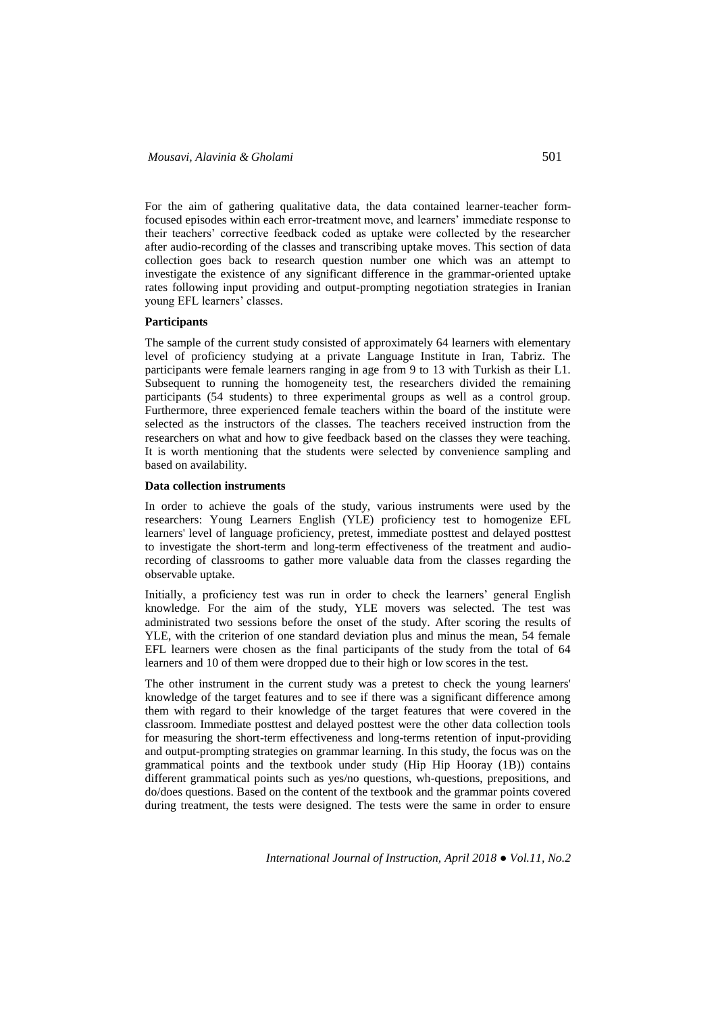For the aim of gathering qualitative data, the data contained learner-teacher formfocused episodes within each error-treatment move, and learners' immediate response to their teachers' corrective feedback coded as uptake were collected by the researcher after audio-recording of the classes and transcribing uptake moves. This section of data collection goes back to research question number one which was an attempt to investigate the existence of any significant difference in the grammar-oriented uptake rates following input providing and output-prompting negotiation strategies in Iranian young EFL learners' classes.

#### **Participants**

The sample of the current study consisted of approximately 64 learners with elementary level of proficiency studying at a private Language Institute in Iran, Tabriz. The participants were female learners ranging in age from 9 to 13 with Turkish as their L1. Subsequent to running the homogeneity test, the researchers divided the remaining participants (54 students) to three experimental groups as well as a control group. Furthermore, three experienced female teachers within the board of the institute were selected as the instructors of the classes. The teachers received instruction from the researchers on what and how to give feedback based on the classes they were teaching. It is worth mentioning that the students were selected by convenience sampling and based on availability.

#### **Data collection instruments**

In order to achieve the goals of the study, various instruments were used by the researchers: Young Learners English (YLE) proficiency test to homogenize EFL learners' level of language proficiency, pretest, immediate posttest and delayed posttest to investigate the short-term and long-term effectiveness of the treatment and audiorecording of classrooms to gather more valuable data from the classes regarding the observable uptake.

Initially, a proficiency test was run in order to check the learners' general English knowledge. For the aim of the study, YLE movers was selected. The test was administrated two sessions before the onset of the study. After scoring the results of YLE, with the criterion of one standard deviation plus and minus the mean, 54 female EFL learners were chosen as the final participants of the study from the total of 64 learners and 10 of them were dropped due to their high or low scores in the test.

The other instrument in the current study was a pretest to check the young learners' knowledge of the target features and to see if there was a significant difference among them with regard to their knowledge of the target features that were covered in the classroom. Immediate posttest and delayed posttest were the other data collection tools for measuring the short-term effectiveness and long-terms retention of input-providing and output-prompting strategies on grammar learning. In this study, the focus was on the grammatical points and the textbook under study (Hip Hip Hooray (1B)) contains different grammatical points such as yes/no questions, wh-questions, prepositions, and do/does questions. Based on the content of the textbook and the grammar points covered during treatment, the tests were designed. The tests were the same in order to ensure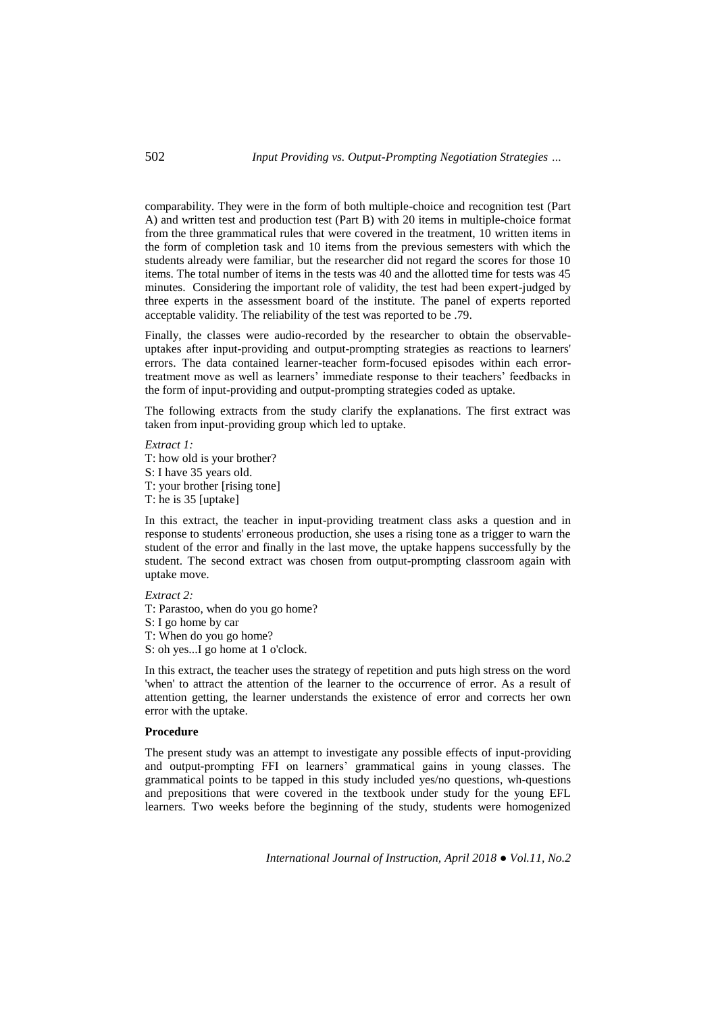comparability. They were in the form of both multiple-choice and recognition test (Part A) and written test and production test (Part B) with 20 items in multiple-choice format from the three grammatical rules that were covered in the treatment, 10 written items in the form of completion task and 10 items from the previous semesters with which the students already were familiar, but the researcher did not regard the scores for those 10 items. The total number of items in the tests was 40 and the allotted time for tests was 45 minutes. Considering the important role of validity, the test had been expert-judged by three experts in the assessment board of the institute. The panel of experts reported acceptable validity. The reliability of the test was reported to be .79.

Finally, the classes were audio-recorded by the researcher to obtain the observableuptakes after input-providing and output-prompting strategies as reactions to learners' errors. The data contained learner-teacher form-focused episodes within each errortreatment move as well as learners' immediate response to their teachers' feedbacks in the form of input-providing and output-prompting strategies coded as uptake.

The following extracts from the study clarify the explanations. The first extract was taken from input-providing group which led to uptake.

*Extract 1:* T: how old is your brother? S: I have 35 years old. T: your brother [rising tone] T: he is 35 [uptake]

In this extract, the teacher in input-providing treatment class asks a question and in response to students' erroneous production, she uses a rising tone as a trigger to warn the student of the error and finally in the last move, the uptake happens successfully by the student. The second extract was chosen from output-prompting classroom again with uptake move.

*Extract 2:*  T: Parastoo, when do you go home? S: I go home by car T: When do you go home? S: oh yes...I go home at 1 o'clock.

In this extract, the teacher uses the strategy of repetition and puts high stress on the word 'when' to attract the attention of the learner to the occurrence of error. As a result of attention getting, the learner understands the existence of error and corrects her own error with the uptake.

#### **Procedure**

The present study was an attempt to investigate any possible effects of input-providing and output-prompting FFI on learners' grammatical gains in young classes. The grammatical points to be tapped in this study included yes/no questions, wh-questions and prepositions that were covered in the textbook under study for the young EFL learners*.* Two weeks before the beginning of the study, students were homogenized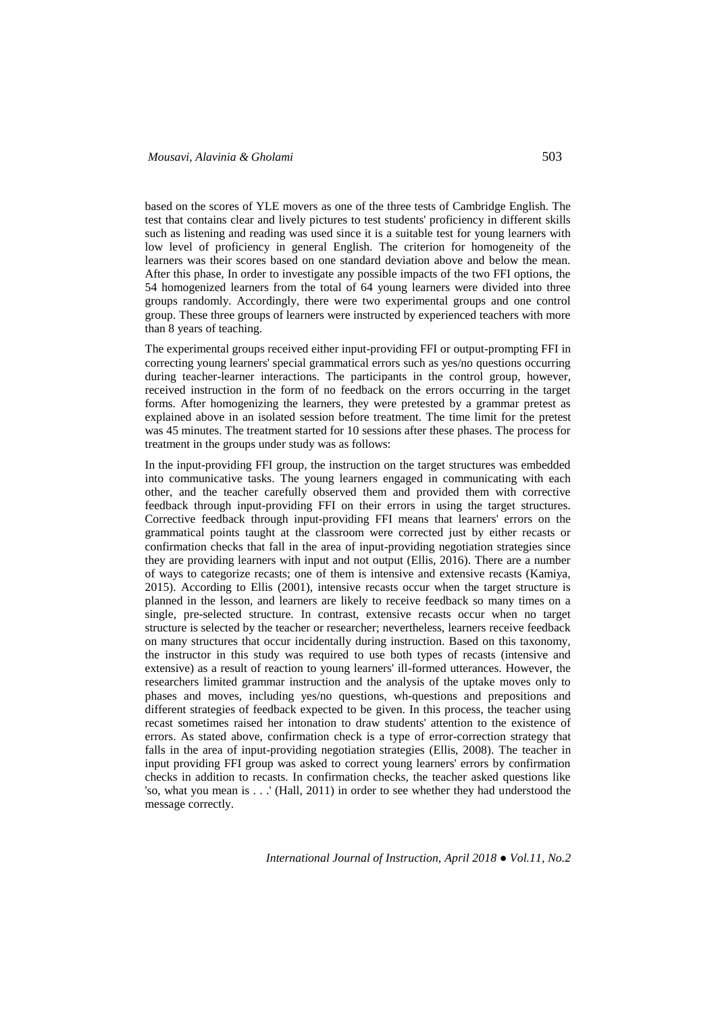based on the scores of YLE movers as one of the three tests of Cambridge English. The test that contains clear and lively pictures to test students' proficiency in different skills such as listening and reading was used since it is a suitable test for young learners with low level of proficiency in general English. The criterion for homogeneity of the learners was their scores based on one standard deviation above and below the mean. After this phase, In order to investigate any possible impacts of the two FFI options, the 54 homogenized learners from the total of 64 young learners were divided into three groups randomly. Accordingly, there were two experimental groups and one control group. These three groups of learners were instructed by experienced teachers with more than 8 years of teaching.

The experimental groups received either input-providing FFI or output-prompting FFI in correcting young learners' special grammatical errors such as yes/no questions occurring during teacher-learner interactions. The participants in the control group, however, received instruction in the form of no feedback on the errors occurring in the target forms. After homogenizing the learners, they were pretested by a grammar pretest as explained above in an isolated session before treatment. The time limit for the pretest was 45 minutes. The treatment started for 10 sessions after these phases. The process for treatment in the groups under study was as follows:

In the input-providing FFI group, the instruction on the target structures was embedded into communicative tasks. The young learners engaged in communicating with each other, and the teacher carefully observed them and provided them with corrective feedback through input-providing FFI on their errors in using the target structures. Corrective feedback through input-providing FFI means that learners' errors on the grammatical points taught at the classroom were corrected just by either recasts or confirmation checks that fall in the area of input-providing negotiation strategies since they are providing learners with input and not output (Ellis, 2016). There are a number of ways to categorize recasts; one of them is intensive and extensive recasts (Kamiya, 2015). According to Ellis (2001), intensive recasts occur when the target structure is planned in the lesson, and learners are likely to receive feedback so many times on a single, pre-selected structure. In contrast, extensive recasts occur when no target structure is selected by the teacher or researcher; nevertheless, learners receive feedback on many structures that occur incidentally during instruction. Based on this taxonomy, the instructor in this study was required to use both types of recasts (intensive and extensive) as a result of reaction to young learners' ill-formed utterances. However, the researchers limited grammar instruction and the analysis of the uptake moves only to phases and moves, including yes/no questions, wh-questions and prepositions and different strategies of feedback expected to be given. In this process, the teacher using recast sometimes raised her intonation to draw students' attention to the existence of errors. As stated above, confirmation check is a type of error-correction strategy that falls in the area of input-providing negotiation strategies (Ellis, 2008). The teacher in input providing FFI group was asked to correct young learners' errors by confirmation checks in addition to recasts. In confirmation checks, the teacher asked questions like 'so, what you mean is . . .' (Hall, 2011) in order to see whether they had understood the message correctly.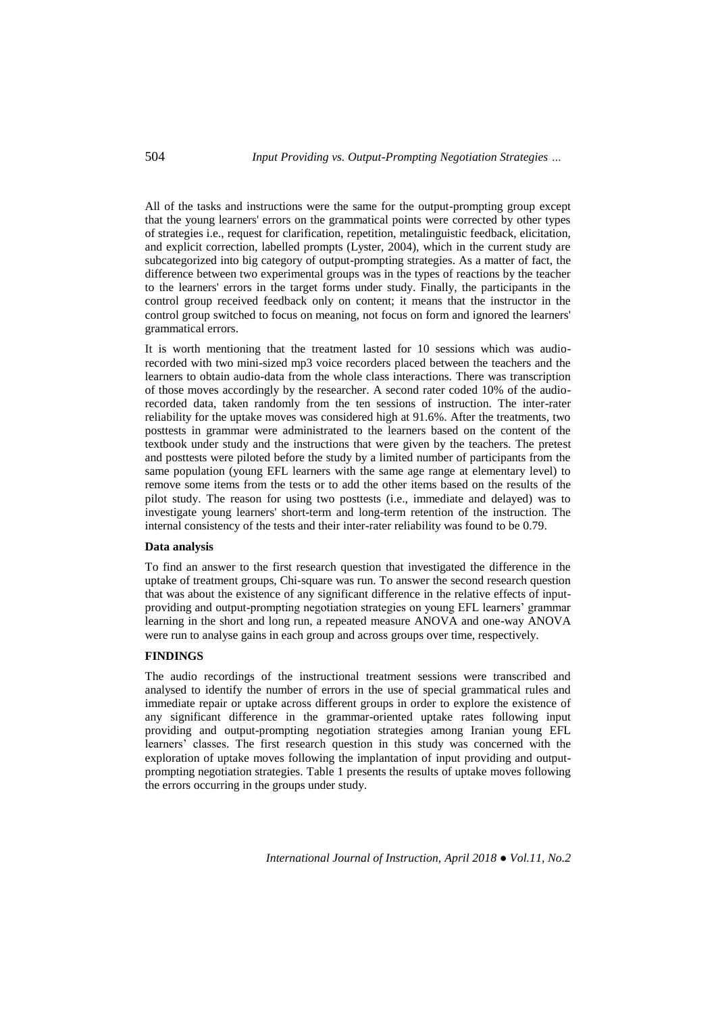All of the tasks and instructions were the same for the output-prompting group except that the young learners' errors on the grammatical points were corrected by other types of strategies i.e., request for clarification, repetition, metalinguistic feedback, elicitation, and explicit correction, labelled prompts (Lyster, 2004), which in the current study are subcategorized into big category of output-prompting strategies. As a matter of fact, the difference between two experimental groups was in the types of reactions by the teacher to the learners' errors in the target forms under study. Finally, the participants in the control group received feedback only on content; it means that the instructor in the control group switched to focus on meaning, not focus on form and ignored the learners' grammatical errors.

It is worth mentioning that the treatment lasted for 10 sessions which was audiorecorded with two mini-sized mp3 voice recorders placed between the teachers and the learners to obtain audio-data from the whole class interactions. There was transcription of those moves accordingly by the researcher. A second rater coded 10% of the audiorecorded data, taken randomly from the ten sessions of instruction. The inter-rater reliability for the uptake moves was considered high at 91.6%. After the treatments, two posttests in grammar were administrated to the learners based on the content of the textbook under study and the instructions that were given by the teachers. The pretest and posttests were piloted before the study by a limited number of participants from the same population (young EFL learners with the same age range at elementary level) to remove some items from the tests or to add the other items based on the results of the pilot study. The reason for using two posttests (i.e., immediate and delayed) was to investigate young learners' short-term and long-term retention of the instruction. The internal consistency of the tests and their inter-rater reliability was found to be 0.79.

### **Data analysis**

To find an answer to the first research question that investigated the difference in the uptake of treatment groups, Chi-square was run. To answer the second research question that was about the existence of any significant difference in the relative effects of inputproviding and output-prompting negotiation strategies on young EFL learners' grammar learning in the short and long run, a repeated measure ANOVA and one-way ANOVA were run to analyse gains in each group and across groups over time, respectively.

# **FINDINGS**

The audio recordings of the instructional treatment sessions were transcribed and analysed to identify the number of errors in the use of special grammatical rules and immediate repair or uptake across different groups in order to explore the existence of any significant difference in the grammar-oriented uptake rates following input providing and output-prompting negotiation strategies among Iranian young EFL learners' classes. The first research question in this study was concerned with the exploration of uptake moves following the implantation of input providing and outputprompting negotiation strategies. Table 1 presents the results of uptake moves following the errors occurring in the groups under study.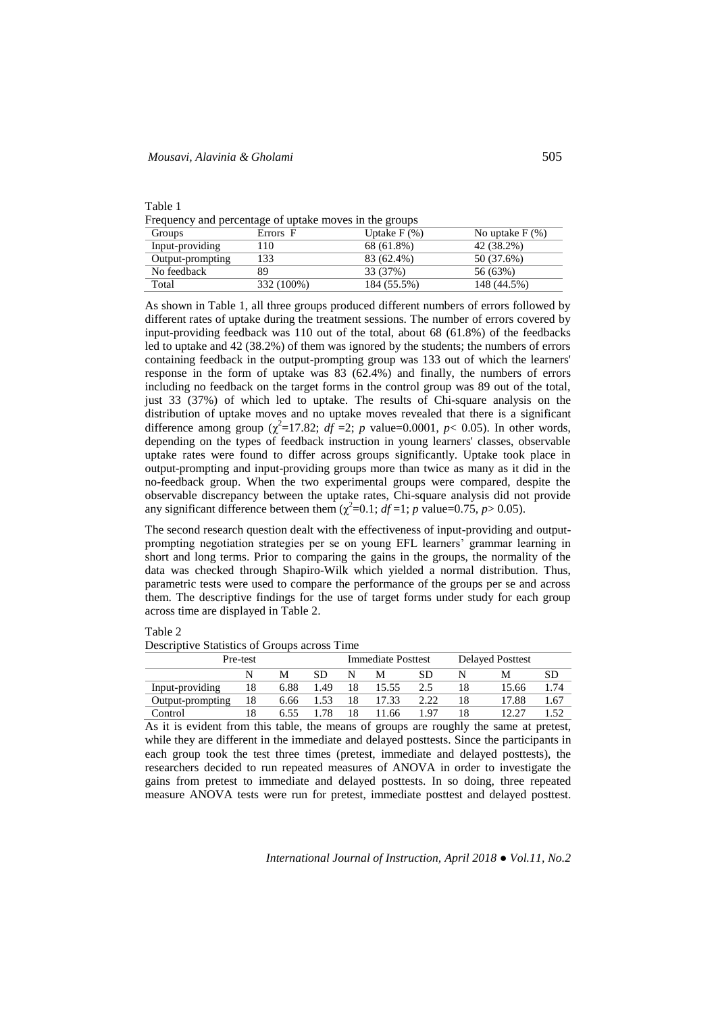Table 1

| Frequency and percentage of uptake moves in the groups |  |  |  |  |
|--------------------------------------------------------|--|--|--|--|
|--------------------------------------------------------|--|--|--|--|

| Groups           | Errors F   | Uptake $F(\%)$ | No uptake $F(\%)$ |
|------------------|------------|----------------|-------------------|
| Input-providing  | -10        | 68 (61.8%)     | 42 (38.2%)        |
| Output-prompting | 133        | 83 (62.4%)     | 50 (37.6%)        |
| No feedback      | 89         | 33 (37%)       | 56 (63%)          |
| Total            | 332 (100%) | 184 (55.5%)    | 148 (44.5%)       |

As shown in Table 1, all three groups produced different numbers of errors followed by different rates of uptake during the treatment sessions. The number of errors covered by input-providing feedback was 110 out of the total, about 68 (61.8%) of the feedbacks led to uptake and 42 (38.2%) of them was ignored by the students; the numbers of errors containing feedback in the output-prompting group was 133 out of which the learners' response in the form of uptake was 83 (62.4%) and finally, the numbers of errors including no feedback on the target forms in the control group was 89 out of the total, just 33 (37%) of which led to uptake. The results of Chi-square analysis on the distribution of uptake moves and no uptake moves revealed that there is a significant difference among group ( $\chi^2$ =17.82; *df* =2; *p* value=0.0001, *p*< 0.05). In other words, depending on the types of feedback instruction in young learners' classes, observable uptake rates were found to differ across groups significantly. Uptake took place in output-prompting and input-providing groups more than twice as many as it did in the no-feedback group. When the two experimental groups were compared, despite the observable discrepancy between the uptake rates, Chi-square analysis did not provide any significant difference between them  $(\chi^2=0.1; df=1; p \text{ value}=0.75, p>0.05)$ .

The second research question dealt with the effectiveness of input-providing and outputprompting negotiation strategies per se on young EFL learners' grammar learning in short and long terms. Prior to comparing the gains in the groups, the normality of the data was checked through Shapiro-Wilk which yielded a normal distribution. Thus, parametric tests were used to compare the performance of the groups per se and across them. The descriptive findings for the use of target forms under study for each group across time are displayed in Table 2.

Table 2

Descriptive Statistics of Groups across Time

| Pre-test         |    |      |      | <b>Immediate Posttest</b> |       |      | <b>Delayed Posttest</b> |           |  |
|------------------|----|------|------|---------------------------|-------|------|-------------------------|-----------|--|
| М                |    |      | SD.  |                           |       | SD   |                         | <b>SD</b> |  |
| Input-providing  | 18 | 6.88 | 1.49 | 18                        | 15.55 | 2.5  | 15.66                   | .74       |  |
| Output-prompting | 18 | 6.66 | 1.53 |                           | 17.33 | 2.22 | 17.88                   | . .67     |  |
| Control          |    | 6 55 | 78   |                           | 11.66 | 197  |                         |           |  |

As it is evident from this table, the means of groups are roughly the same at pretest, while they are different in the immediate and delayed posttests. Since the participants in each group took the test three times (pretest, immediate and delayed posttests), the researchers decided to run repeated measures of ANOVA in order to investigate the gains from pretest to immediate and delayed posttests. In so doing, three repeated measure ANOVA tests were run for pretest, immediate posttest and delayed posttest.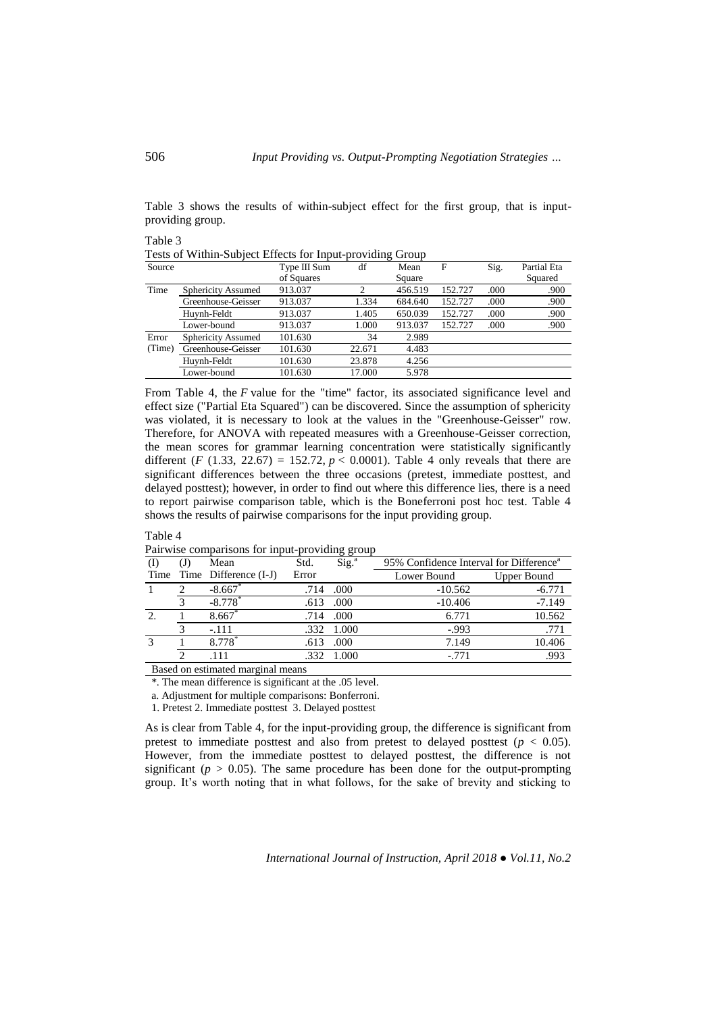Table 3 shows the results of within-subject effect for the first group, that is inputproviding group.

|        | Tests of within-subject Effects for input-providing Group |              |        |         |         |      |             |
|--------|-----------------------------------------------------------|--------------|--------|---------|---------|------|-------------|
| Source |                                                           | Type III Sum | df     | Mean    | F       | Sig. | Partial Eta |
|        |                                                           | of Squares   |        | Square  |         |      | Squared     |
| Time   | <b>Sphericity Assumed</b>                                 | 913.037      |        | 456.519 | 152.727 | .000 | .900        |
|        | Greenhouse-Geisser                                        | 913.037      | 1.334  | 684.640 | 152.727 | .000 | .900        |
|        | Huynh-Feldt                                               | 913.037      | 1.405  | 650.039 | 152.727 | .000 | .900        |
|        | Lower-bound                                               | 913.037      | 1.000  | 913.037 | 152.727 | .000 | .900        |
| Error  | <b>Sphericity Assumed</b>                                 | 101.630      | 34     | 2.989   |         |      |             |
| (Time) | Greenhouse-Geisser                                        | 101.630      | 22.671 | 4.483   |         |      |             |
|        | Huynh-Feldt                                               | 101.630      | 23.878 | 4.256   |         |      |             |
|        | Lower-bound                                               | 101.630      | 17.000 | 5.978   |         |      |             |

Table 3<br>The formulation Tests of Within-Subject Effects for Input-providing

From Table 4, the *F* value for the "time" factor, its associated significance level and effect size ("Partial Eta Squared") can be discovered. Since the assumption of sphericity was violated, it is necessary to look at the values in the "Greenhouse-Geisser" row. Therefore, for ANOVA with repeated measures with a Greenhouse-Geisser correction, the mean scores for grammar learning concentration were statistically significantly different (*F* (1.33, 22.67) = 152.72,  $p < 0.0001$ ). Table 4 only reveals that there are significant differences between the three occasions (pretest, immediate posttest, and delayed posttest); however, in order to find out where this difference lies, there is a need to report pairwise comparison table, which is the Boneferroni post hoc test. Table 4 shows the results of pairwise comparisons for the input providing group.

#### Table 4

Pairwise comparisons for input-providing group

|                                       |   |                            |       | $\circ$ $\circ$   |                                                     |             |  |  |
|---------------------------------------|---|----------------------------|-------|-------------------|-----------------------------------------------------|-------------|--|--|
|                                       |   | Mean                       | Std.  | Sig. <sup>a</sup> | 95% Confidence Interval for Difference <sup>a</sup> |             |  |  |
|                                       |   | Time Time Difference (I-J) | Error |                   | Lower Bound                                         | Upper Bound |  |  |
|                                       | ↑ | $-8.667$                   | .714  | .000              | $-10.562$                                           | $-6.771$    |  |  |
|                                       |   | $-8.778$ <sup>*</sup>      | .613  | .000              | $-10.406$                                           | $-7.149$    |  |  |
| 2.                                    |   | $8.667*$                   | .714  | .000              | 6.771                                               | 10.562      |  |  |
|                                       | 3 | $-.111$                    |       | .332 1.000        | $-.993$                                             | .771        |  |  |
|                                       |   | 8.778                      | .613  | .000              | 7.149                                               | 10.406      |  |  |
|                                       |   | 111                        |       | .332 1.000        | $-.771$                                             | .993        |  |  |
| Decedent contracted monotorly more on |   |                            |       |                   |                                                     |             |  |  |

Based on estimated marginal means

\*. The mean difference is significant at the .05 level.

a. Adjustment for multiple comparisons: Bonferroni.

1. Pretest 2. Immediate posttest 3. Delayed posttest

As is clear from Table 4, for the input-providing group, the difference is significant from pretest to immediate posttest and also from pretest to delayed posttest ( $p < 0.05$ ). However, from the immediate posttest to delayed posttest, the difference is not significant ( $p > 0.05$ ). The same procedure has been done for the output-prompting group. It's worth noting that in what follows, for the sake of brevity and sticking to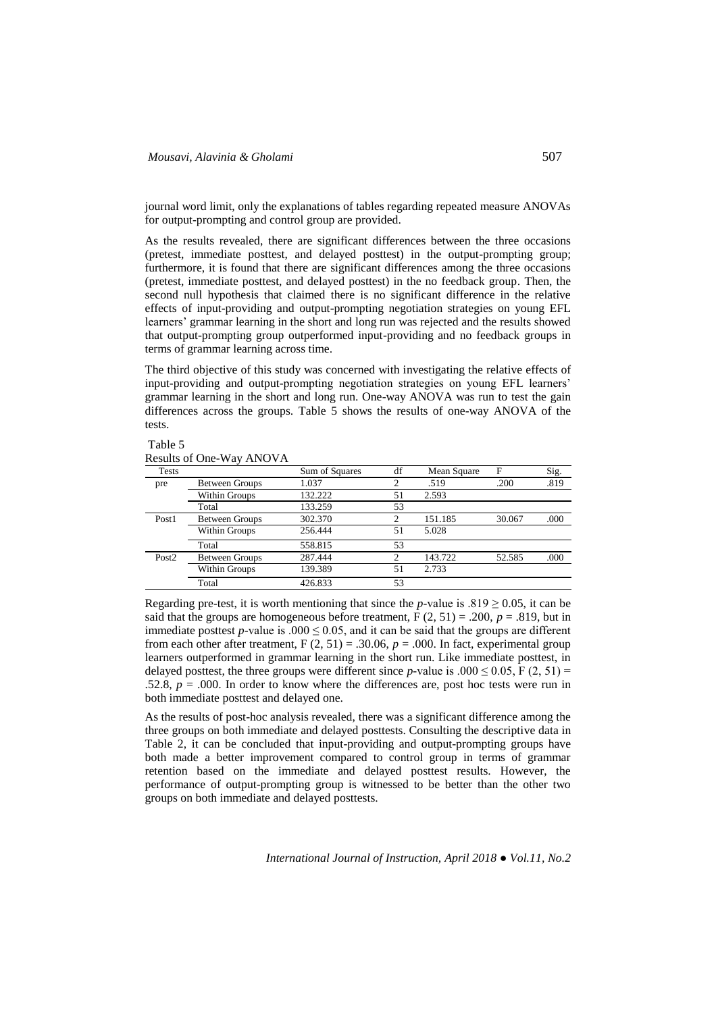journal word limit, only the explanations of tables regarding repeated measure ANOVAs for output-prompting and control group are provided.

As the results revealed, there are significant differences between the three occasions (pretest, immediate posttest, and delayed posttest) in the output-prompting group; furthermore, it is found that there are significant differences among the three occasions (pretest, immediate posttest, and delayed posttest) in the no feedback group. Then, the second null hypothesis that claimed there is no significant difference in the relative effects of input-providing and output-prompting negotiation strategies on young EFL learners' grammar learning in the short and long run was rejected and the results showed that output-prompting group outperformed input-providing and no feedback groups in terms of grammar learning across time.

The third objective of this study was concerned with investigating the relative effects of input-providing and output-prompting negotiation strategies on young EFL learners' grammar learning in the short and long run. One-way ANOVA was run to test the gain differences across the groups. Table 5 shows the results of one-way ANOVA of the tests.

|                   | Results of One-Way ANOVA |                |    |             |              |      |
|-------------------|--------------------------|----------------|----|-------------|--------------|------|
| <b>Tests</b>      |                          | Sum of Squares | df | Mean Square | $\mathbf{F}$ | Sig. |
| pre               | Between Groups           | 1.037          | 2  | .519        | .200         | .819 |
|                   | Within Groups            | 132.222        | 51 | 2.593       |              |      |
|                   | Total                    | 133.259        | 53 |             |              |      |
| Post1             | <b>Between Groups</b>    | 302.370        | 2  | 151.185     | 30.067       | .000 |
|                   | Within Groups            | 256.444        | 51 | 5.028       |              |      |
|                   | Total                    | 558.815        | 53 |             |              |      |
| Post <sub>2</sub> | <b>Between Groups</b>    | 287.444        | 2  | 143.722     | 52.585       | .000 |
|                   | Within Groups            | 139.389        | 51 | 2.733       |              |      |
|                   | Total                    | 426.833        | 53 |             |              |      |

Table 5

Regarding pre-test, it is worth mentioning that since the *p*-value is  $.819 \ge 0.05$ , it can be said that the groups are homogeneous before treatment,  $F(2, 51) = .200$ ,  $p = .819$ , but in immediate posttest *p*-value is .000  $\leq$  0.05, and it can be said that the groups are different from each other after treatment,  $F(2, 51) = .30.06$ ,  $p = .000$ . In fact, experimental group learners outperformed in grammar learning in the short run. Like immediate posttest, in delayed posttest, the three groups were different since *p*-value is .000  $\leq$  0.05, F (2, 51) = .52.8,  $p = .000$ . In order to know where the differences are, post hoc tests were run in both immediate posttest and delayed one.

As the results of post-hoc analysis revealed, there was a significant difference among the three groups on both immediate and delayed posttests. Consulting the descriptive data in Table 2, it can be concluded that input-providing and output-prompting groups have both made a better improvement compared to control group in terms of grammar retention based on the immediate and delayed posttest results. However, the performance of output-prompting group is witnessed to be better than the other two groups on both immediate and delayed posttests.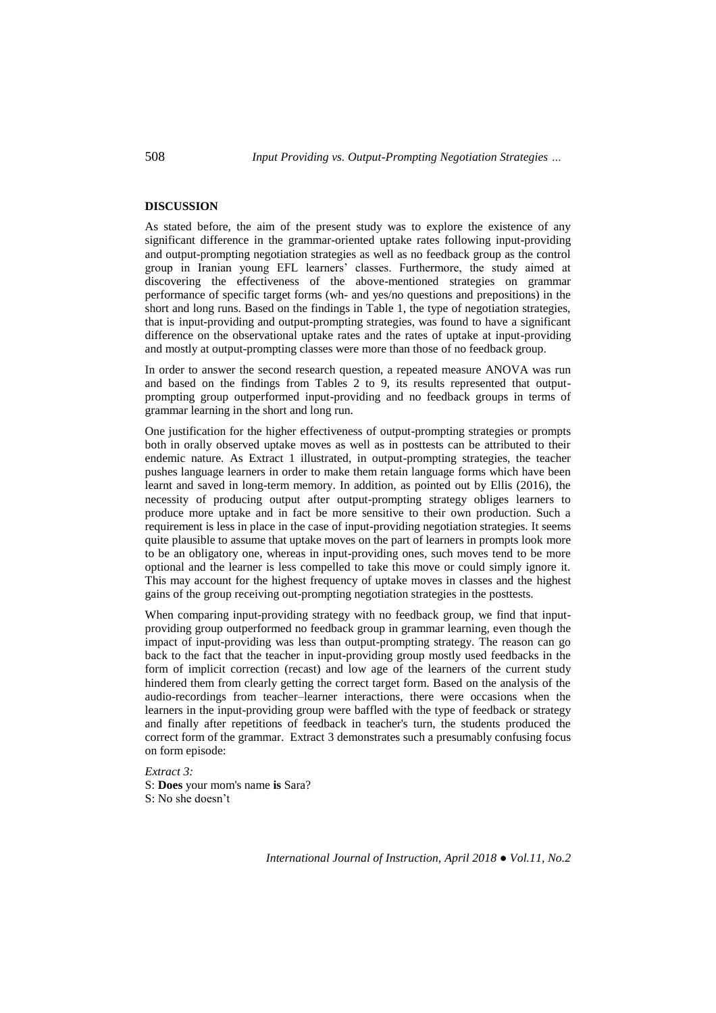508 *Input Providing vs. Output-Prompting Negotiation Strategies …*

# **DISCUSSION**

As stated before, the aim of the present study was to explore the existence of any significant difference in the grammar-oriented uptake rates following input-providing and output-prompting negotiation strategies as well as no feedback group as the control group in Iranian young EFL learners' classes. Furthermore, the study aimed at discovering the effectiveness of the above-mentioned strategies on grammar performance of specific target forms (wh- and yes/no questions and prepositions) in the short and long runs. Based on the findings in Table 1, the type of negotiation strategies, that is input-providing and output-prompting strategies, was found to have a significant difference on the observational uptake rates and the rates of uptake at input-providing and mostly at output-prompting classes were more than those of no feedback group.

In order to answer the second research question, a repeated measure ANOVA was run and based on the findings from Tables 2 to 9, its results represented that outputprompting group outperformed input-providing and no feedback groups in terms of grammar learning in the short and long run.

One justification for the higher effectiveness of output-prompting strategies or prompts both in orally observed uptake moves as well as in posttests can be attributed to their endemic nature. As Extract 1 illustrated, in output-prompting strategies, the teacher pushes language learners in order to make them retain language forms which have been learnt and saved in long-term memory. In addition, as pointed out by Ellis (2016), the necessity of producing output after output-prompting strategy obliges learners to produce more uptake and in fact be more sensitive to their own production. Such a requirement is less in place in the case of input-providing negotiation strategies. It seems quite plausible to assume that uptake moves on the part of learners in prompts look more to be an obligatory one, whereas in input-providing ones, such moves tend to be more optional and the learner is less compelled to take this move or could simply ignore it. This may account for the highest frequency of uptake moves in classes and the highest gains of the group receiving out-prompting negotiation strategies in the posttests.

When comparing input-providing strategy with no feedback group, we find that inputproviding group outperformed no feedback group in grammar learning, even though the impact of input-providing was less than output-prompting strategy. The reason can go back to the fact that the teacher in input-providing group mostly used feedbacks in the form of implicit correction (recast) and low age of the learners of the current study hindered them from clearly getting the correct target form. Based on the analysis of the audio-recordings from teacher–learner interactions, there were occasions when the learners in the input-providing group were baffled with the type of feedback or strategy and finally after repetitions of feedback in teacher's turn, the students produced the correct form of the grammar. Extract 3 demonstrates such a presumably confusing focus on form episode:

*Extract 3:* S: **Does** your mom's name **is** Sara? S: No she doesn't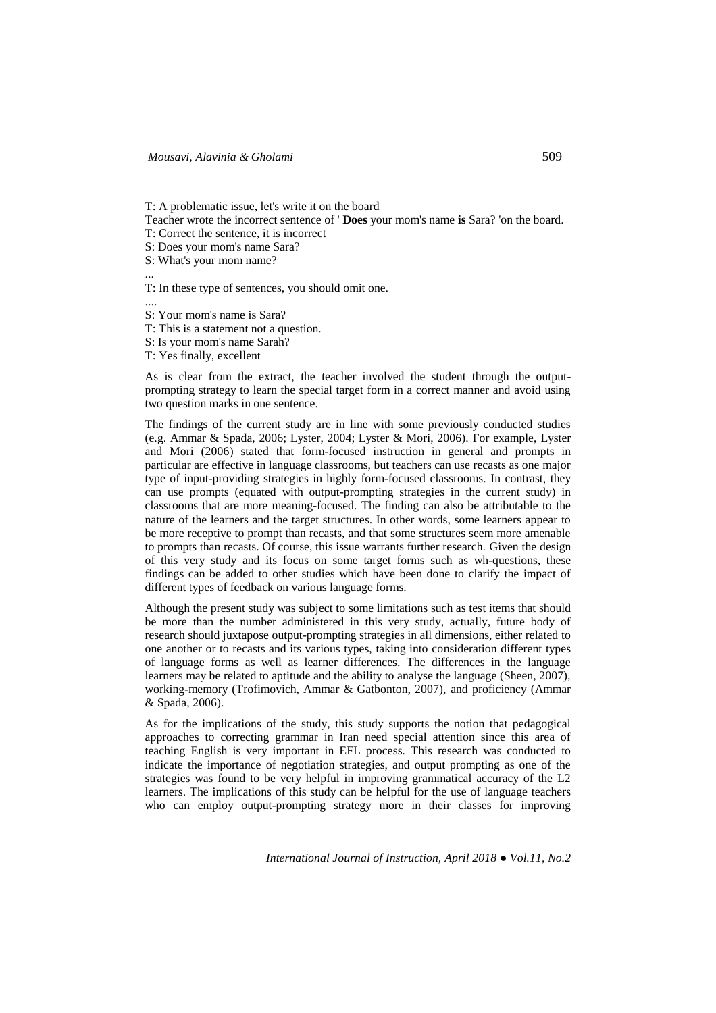T: A problematic issue, let's write it on the board

Teacher wrote the incorrect sentence of ' **Does** your mom's name **is** Sara? 'on the board.

T: Correct the sentence, it is incorrect

S: Does your mom's name Sara?

S: What's your mom name?

...

....

T: In these type of sentences, you should omit one.

S: Your mom's name is Sara?

T: This is a statement not a question.

S: Is your mom's name Sarah?

T: Yes finally, excellent

As is clear from the extract, the teacher involved the student through the outputprompting strategy to learn the special target form in a correct manner and avoid using two question marks in one sentence.

The findings of the current study are in line with some previously conducted studies (e.g. Ammar & Spada, 2006; Lyster, 2004; Lyster & Mori, 2006). For example, Lyster and Mori (2006) stated that form-focused instruction in general and prompts in particular are effective in language classrooms, but teachers can use recasts as one major type of input-providing strategies in highly form-focused classrooms. In contrast, they can use prompts (equated with output-prompting strategies in the current study) in classrooms that are more meaning-focused. The finding can also be attributable to the nature of the learners and the target structures. In other words, some learners appear to be more receptive to prompt than recasts, and that some structures seem more amenable to prompts than recasts. Of course, this issue warrants further research. Given the design of this very study and its focus on some target forms such as wh-questions, these findings can be added to other studies which have been done to clarify the impact of different types of feedback on various language forms.

Although the present study was subject to some limitations such as test items that should be more than the number administered in this very study, actually, future body of research should juxtapose output-prompting strategies in all dimensions, either related to one another or to recasts and its various types, taking into consideration different types of language forms as well as learner differences. The differences in the language learners may be related to aptitude and the ability to analyse the language (Sheen, 2007), working-memory (Trofimovich, Ammar & Gatbonton, 2007), and proficiency (Ammar & Spada, 2006).

As for the implications of the study, this study supports the notion that pedagogical approaches to correcting grammar in Iran need special attention since this area of teaching English is very important in EFL process. This research was conducted to indicate the importance of negotiation strategies, and output prompting as one of the strategies was found to be very helpful in improving grammatical accuracy of the L2 learners. The implications of this study can be helpful for the use of language teachers who can employ output-prompting strategy more in their classes for improving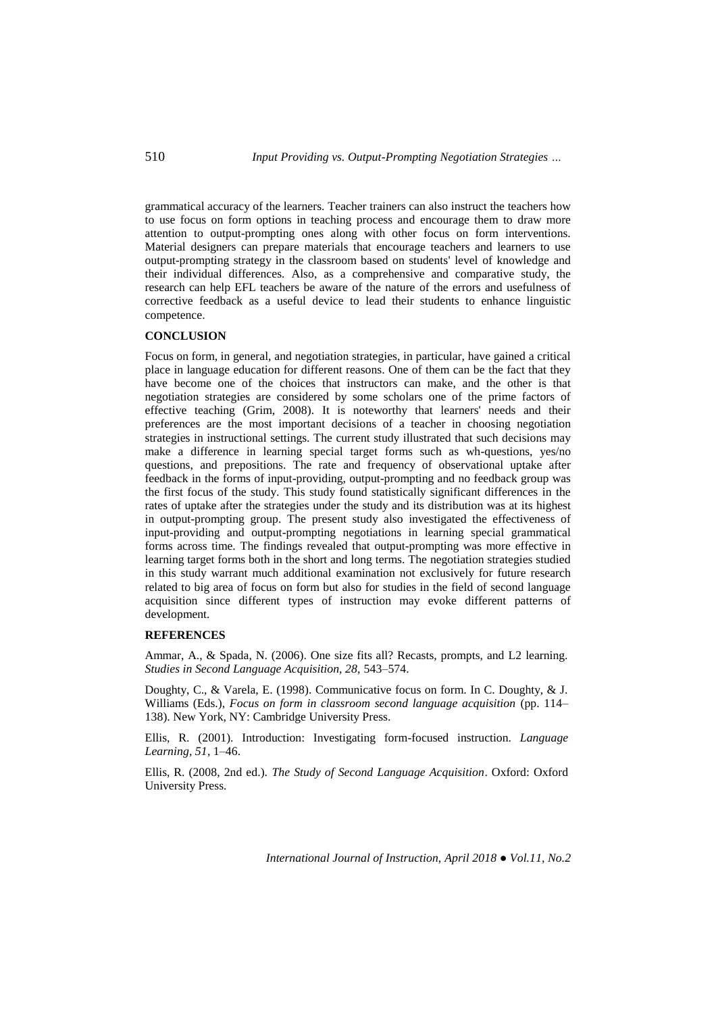510 *Input Providing vs. Output-Prompting Negotiation Strategies …*

grammatical accuracy of the learners. Teacher trainers can also instruct the teachers how to use focus on form options in teaching process and encourage them to draw more attention to output-prompting ones along with other focus on form interventions. Material designers can prepare materials that encourage teachers and learners to use output-prompting strategy in the classroom based on students' level of knowledge and their individual differences. Also, as a comprehensive and comparative study, the research can help EFL teachers be aware of the nature of the errors and usefulness of corrective feedback as a useful device to lead their students to enhance linguistic competence.

### **CONCLUSION**

Focus on form, in general, and negotiation strategies, in particular, have gained a critical place in language education for different reasons. One of them can be the fact that they have become one of the choices that instructors can make, and the other is that negotiation strategies are considered by some scholars one of the prime factors of effective teaching (Grim, 2008). It is noteworthy that learners' needs and their preferences are the most important decisions of a teacher in choosing negotiation strategies in instructional settings. The current study illustrated that such decisions may make a difference in learning special target forms such as wh-questions, yes/no questions, and prepositions. The rate and frequency of observational uptake after feedback in the forms of input-providing, output-prompting and no feedback group was the first focus of the study. This study found statistically significant differences in the rates of uptake after the strategies under the study and its distribution was at its highest in output-prompting group. The present study also investigated the effectiveness of input-providing and output-prompting negotiations in learning special grammatical forms across time. The findings revealed that output-prompting was more effective in learning target forms both in the short and long terms. The negotiation strategies studied in this study warrant much additional examination not exclusively for future research related to big area of focus on form but also for studies in the field of second language acquisition since different types of instruction may evoke different patterns of development.

#### **REFERENCES**

Ammar, A., & Spada, N. (2006). One size fits all? Recasts, prompts, and L2 learning. *Studies in Second Language Acquisition, 28,* 543–574.

Doughty, C., & Varela, E. (1998). Communicative focus on form. In C. Doughty, & J. Williams (Eds.), *Focus on form in classroom second language acquisition* (pp. 114– 138). New York, NY: Cambridge University Press.

Ellis, R. (2001). Introduction: Investigating form-focused instruction. *Language Learning, 51*, 1–46.

Ellis, R. (2008, 2nd ed.). *The Study of Second Language Acquisition*. Oxford: Oxford University Press.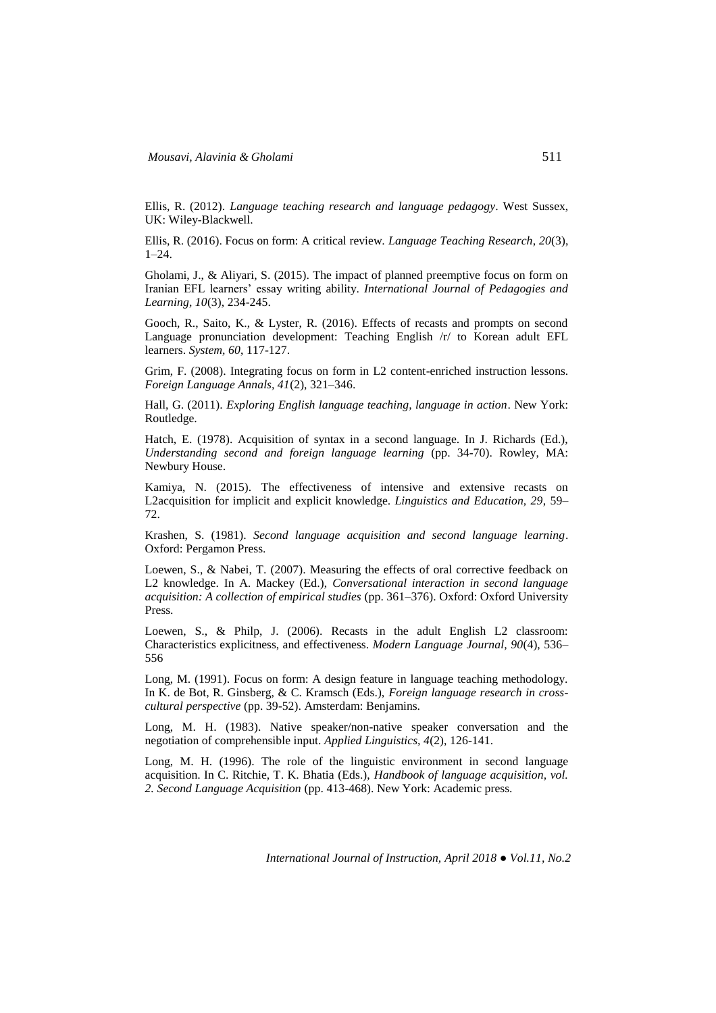Ellis, R. (2012). *Language teaching research and language pedagogy*. West Sussex, UK: Wiley-Blackwell.

Ellis, R. (2016). Focus on form: A critical review. *Language Teaching Research*, *20*(3), 1–24.

Gholami, J., & Aliyari, S. (2015). The impact of planned preemptive focus on form on Iranian EFL learners' essay writing ability. *International Journal of Pedagogies and Learning, 10*(3), 234-245.

Gooch, R., Saito, K., & Lyster, R. (2016). Effects of recasts and prompts on second Language pronunciation development: Teaching English /r/ to Korean adult EFL learners. *System, 60*, 117-127.

Grim, F. (2008). Integrating focus on form in L2 content-enriched instruction lessons. *Foreign Language Annals, 41*(2), 321–346.

Hall, G. (2011). *Exploring English language teaching, language in action*. New York: Routledge.

Hatch, E. (1978). Acquisition of syntax in a second language. In J. Richards (Ed.), *Understanding second and foreign language learning* (pp. 34-70). Rowley, MA: Newbury House.

Kamiya, N. (2015). The effectiveness of intensive and extensive recasts on L2acquisition for implicit and explicit knowledge. *Linguistics and Education, 29*, 59– 72.

Krashen, S. (1981). *Second language acquisition and second language learning*. Oxford: Pergamon Press.

Loewen, S., & Nabei, T. (2007). Measuring the effects of oral corrective feedback on L2 knowledge. In A. Mackey (Ed.), *Conversational interaction in second language acquisition: A collection of empirical studies* (pp. 361–376). Oxford: Oxford University Press.

Loewen, S., & Philp, J. (2006). Recasts in the adult English L2 classroom: Characteristics explicitness, and effectiveness. *Modern Language Journal, 90*(4), 536– 556

Long, M. (1991). Focus on form: A design feature in language teaching methodology. In K. de Bot, R. Ginsberg, & C. Kramsch (Eds.), *Foreign language research in crosscultural perspective* (pp. 39-52). Amsterdam: Benjamins.

Long, M. H. (1983). Native speaker/non-native speaker conversation and the negotiation of comprehensible input. *Applied Linguistics, 4*(2), 126-141.

Long, M. H. (1996). The role of the linguistic environment in second language acquisition. In C. Ritchie, T. K. Bhatia (Eds.), *Handbook of language acquisition, vol. 2. Second Language Acquisition* (pp. 413-468). New York: Academic press.